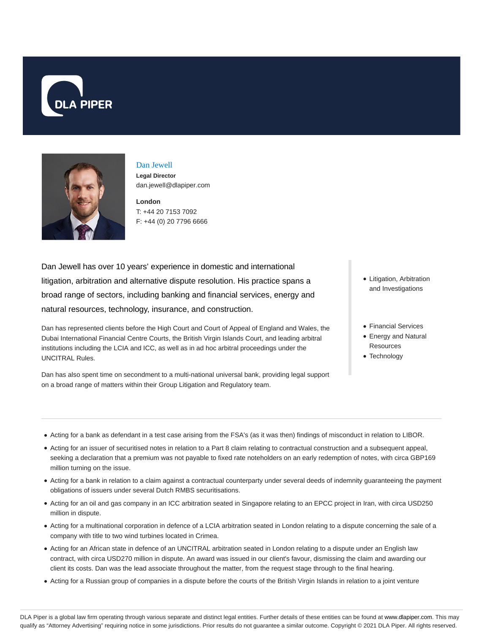



# Dan Jewell

**Legal Director** dan.jewell@dlapiper.com

**London** T: +44 20 7153 7092 F: +44 (0) 20 7796 6666

Dan Jewell has over 10 years' experience in domestic and international litigation, arbitration and alternative dispute resolution. His practice spans a broad range of sectors, including banking and financial services, energy and natural resources, technology, insurance, and construction.

Dan has represented clients before the High Court and Court of Appeal of England and Wales, the Dubai International Financial Centre Courts, the British Virgin Islands Court, and leading arbitral institutions including the LCIA and ICC, as well as in ad hoc arbitral proceedings under the UNCITRAL Rules.

Dan has also spent time on secondment to a multi-national universal bank, providing legal support on a broad range of matters within their Group Litigation and Regulatory team.

- Litigation, Arbitration and Investigations
- Financial Services
- Energy and Natural **Resources**
- Technology

- Acting for a bank as defendant in a test case arising from the FSA's (as it was then) findings of misconduct in relation to LIBOR.
- Acting for an issuer of securitised notes in relation to a Part 8 claim relating to contractual construction and a subsequent appeal, seeking a declaration that a premium was not payable to fixed rate noteholders on an early redemption of notes, with circa GBP169 million turning on the issue.
- Acting for a bank in relation to a claim against a contractual counterparty under several deeds of indemnity guaranteeing the payment obligations of issuers under several Dutch RMBS securitisations.
- Acting for an oil and gas company in an ICC arbitration seated in Singapore relating to an EPCC project in Iran, with circa USD250 million in dispute.
- Acting for a multinational corporation in defence of a LCIA arbitration seated in London relating to a dispute concerning the sale of a company with title to two wind turbines located in Crimea.
- Acting for an African state in defence of an UNCITRAL arbitration seated in London relating to a dispute under an English law contract, with circa USD270 million in dispute. An award was issued in our client's favour, dismissing the claim and awarding our client its costs. Dan was the lead associate throughout the matter, from the request stage through to the final hearing.
- Acting for a Russian group of companies in a dispute before the courts of the British Virgin Islands in relation to a joint venture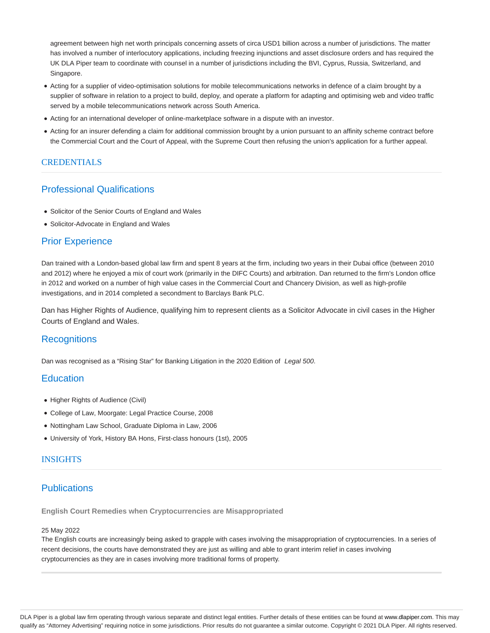agreement between high net worth principals concerning assets of circa USD1 billion across a number of jurisdictions. The matter has involved a number of interlocutory applications, including freezing injunctions and asset disclosure orders and has required the UK DLA Piper team to coordinate with counsel in a number of jurisdictions including the BVI, Cyprus, Russia, Switzerland, and Singapore.

- Acting for a supplier of video-optimisation solutions for mobile telecommunications networks in defence of a claim brought by a supplier of software in relation to a project to build, deploy, and operate a platform for adapting and optimising web and video traffic served by a mobile telecommunications network across South America.
- Acting for an international developer of online-marketplace software in a dispute with an investor.
- Acting for an insurer defending a claim for additional commission brought by a union pursuant to an affinity scheme contract before the Commercial Court and the Court of Appeal, with the Supreme Court then refusing the union's application for a further appeal.

## **CREDENTIALS**

## Professional Qualifications

- Solicitor of the Senior Courts of England and Wales
- Solicitor-Advocate in England and Wales

## Prior Experience

Dan trained with a London-based global law firm and spent 8 years at the firm, including two years in their Dubai office (between 2010 and 2012) where he enjoyed a mix of court work (primarily in the DIFC Courts) and arbitration. Dan returned to the firm's London office in 2012 and worked on a number of high value cases in the Commercial Court and Chancery Division, as well as high-profile investigations, and in 2014 completed a secondment to Barclays Bank PLC.

Dan has Higher Rights of Audience, qualifying him to represent clients as a Solicitor Advocate in civil cases in the Higher Courts of England and Wales.

## **Recognitions**

Dan was recognised as a "Rising Star" for Banking Litigation in the 2020 Edition of Legal 500.

## **Education**

- Higher Rights of Audience (Civil)
- College of Law, Moorgate: Legal Practice Course, 2008
- Nottingham Law School, Graduate Diploma in Law, 2006
- University of York, History BA Hons, First-class honours (1st), 2005

## INSIGHTS

## **Publications**

**English Court Remedies when Cryptocurrencies are Misappropriated**

### 25 May 2022

The English courts are increasingly being asked to grapple with cases involving the misappropriation of cryptocurrencies. In a series of recent decisions, the courts have demonstrated they are just as willing and able to grant interim relief in cases involving cryptocurrencies as they are in cases involving more traditional forms of property.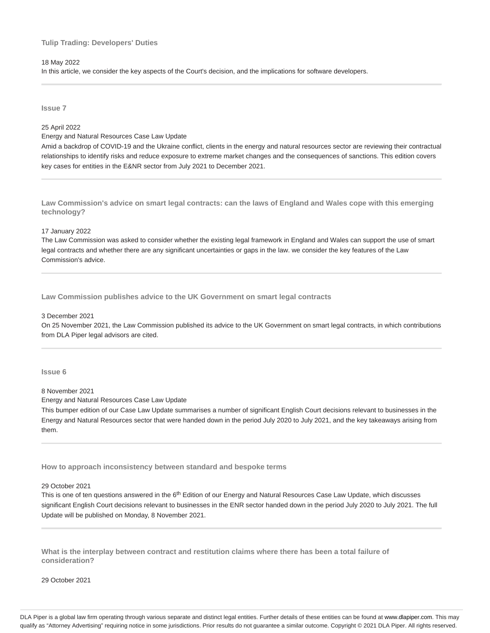### **Tulip Trading: Developers' Duties**

#### 18 May 2022

In this article, we consider the key aspects of the Court's decision, and the implications for software developers.

**Issue 7**

## 25 April 2022

Energy and Natural Resources Case Law Update

Amid a backdrop of COVID-19 and the Ukraine conflict, clients in the energy and natural resources sector are reviewing their contractual relationships to identify risks and reduce exposure to extreme market changes and the consequences of sanctions. This edition covers key cases for entities in the E&NR sector from July 2021 to December 2021.

**Law Commission's advice on smart legal contracts: can the laws of England and Wales cope with this emerging technology?**

#### 17 January 2022

The Law Commission was asked to consider whether the existing legal framework in England and Wales can support the use of smart legal contracts and whether there are any significant uncertainties or gaps in the law. we consider the key features of the Law Commission's advice.

**Law Commission publishes advice to the UK Government on smart legal contracts**

#### 3 December 2021

On 25 November 2021, the Law Commission published its advice to the UK Government on smart legal contracts, in which contributions from DLA Piper legal advisors are cited.

**Issue 6**

## 8 November 2021

Energy and Natural Resources Case Law Update

This bumper edition of our Case Law Update summarises a number of significant English Court decisions relevant to businesses in the Energy and Natural Resources sector that were handed down in the period July 2020 to July 2021, and the key takeaways arising from them.

**How to approach inconsistency between standard and bespoke terms**

#### 29 October 2021

This is one of ten questions answered in the 6<sup>th</sup> Edition of our Energy and Natural Resources Case Law Update, which discusses significant English Court decisions relevant to businesses in the ENR sector handed down in the period July 2020 to July 2021. The full Update will be published on Monday, 8 November 2021.

**What is the interplay between contract and restitution claims where there has been a total failure of consideration?**

29 October 2021

DLA Piper is a global law firm operating through various separate and distinct legal entities. Further details of these entities can be found at www.dlapiper.com. This may qualify as "Attorney Advertising" requiring notice in some jurisdictions. Prior results do not guarantee a similar outcome. Copyright @ 2021 DLA Piper. All rights reserved.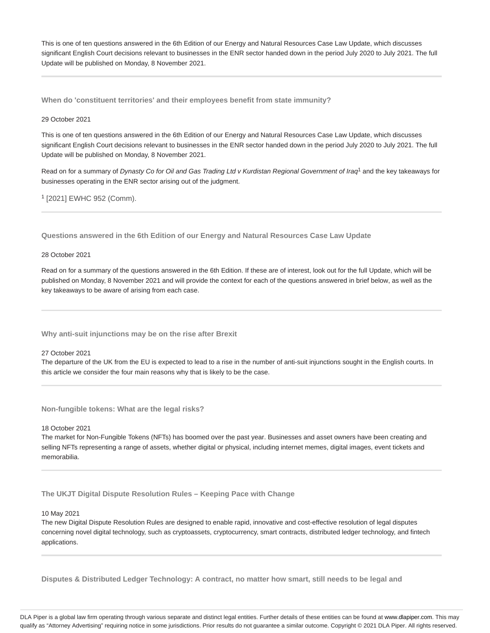This is one of ten questions answered in the 6th Edition of our Energy and Natural Resources Case Law Update, which discusses significant English Court decisions relevant to businesses in the ENR sector handed down in the period July 2020 to July 2021. The full Update will be published on Monday, 8 November 2021.

**When do 'constituent territories' and their employees benefit from state immunity?**

### 29 October 2021

This is one of ten questions answered in the 6th Edition of our Energy and Natural Resources Case Law Update, which discusses significant English Court decisions relevant to businesses in the ENR sector handed down in the period July 2020 to July 2021. The full Update will be published on Monday, 8 November 2021.

Read on for a summary of Dynasty Co for Oil and Gas Trading Ltd v Kurdistan Regional Government of Iraq<sup>1</sup> and the key takeaways for businesses operating in the ENR sector arising out of the judgment.

<sup>1</sup> [2021] EWHC 952 (Comm).

**Questions answered in the 6th Edition of our Energy and Natural Resources Case Law Update**

#### 28 October 2021

Read on for a summary of the questions answered in the 6th Edition. If these are of interest, look out for the full Update, which will be published on Monday, 8 November 2021 and will provide the context for each of the questions answered in brief below, as well as the key takeaways to be aware of arising from each case.

**Why anti-suit injunctions may be on the rise after Brexit**

#### 27 October 2021

The departure of the UK from the EU is expected to lead to a rise in the number of anti-suit injunctions sought in the English courts. In this article we consider the four main reasons why that is likely to be the case.

**Non-fungible tokens: What are the legal risks?**

18 October 2021

The market for Non-Fungible Tokens (NFTs) has boomed over the past year. Businesses and asset owners have been creating and selling NFTs representing a range of assets, whether digital or physical, including internet memes, digital images, event tickets and memorabilia.

**The UKJT Digital Dispute Resolution Rules – Keeping Pace with Change**

### 10 May 2021

The new Digital Dispute Resolution Rules are designed to enable rapid, innovative and cost-effective resolution of legal disputes concerning novel digital technology, such as cryptoassets, cryptocurrency, smart contracts, distributed ledger technology, and fintech applications.

**Disputes & Distributed Ledger Technology: A contract, no matter how smart, still needs to be legal and**

DLA Piper is a global law firm operating through various separate and distinct legal entities. Further details of these entities can be found at www.dlapiper.com. This may qualify as "Attorney Advertising" requiring notice in some jurisdictions. Prior results do not guarantee a similar outcome. Copyright @ 2021 DLA Piper. All rights reserved.